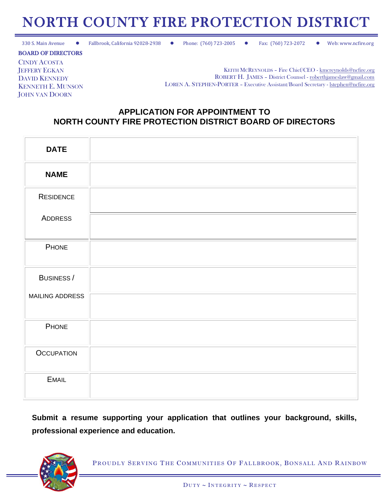## NORTH COUNTY FIRE PROTECTION DISTRICT

330 S. Main Avenue ⚫ Fallbrook, California 92028-2938 ⚫ Phone: (760) 723-2005 ⚫ Fax: (760) 723-2072 ⚫ Web: www.ncfire.org

BOARD OF DIRECTORS

CINDY ACOSTA JEFFERY EGKAN DAVID KENNEDY KENNETH E. MUNSON JOHN VAN DOORN

KEITH MCREYNOLDS – Fire Chief/CEO - [kmcreynolds@ncfire.org](mailto:kmcreynolds@ncfire.org) ROBERT H. JAMES – District Counsel - [roberthjameslaw@gmail.com](mailto:roberthjameslaw@gmail.com) LOREN A. STEPHEN-PORTER – Executive Assistant/Board Secretary - [lstephen@ncfire.org](mailto:lstephen@ncfire.org)

## **APPLICATION FOR APPOINTMENT TO NORTH COUNTY FIRE PROTECTION DISTRICT BOARD OF DIRECTORS**

| <b>DATE</b>       |  |
|-------------------|--|
| <b>NAME</b>       |  |
| <b>RESIDENCE</b>  |  |
| ADDRESS           |  |
| PHONE             |  |
| BUSINESS/         |  |
| MAILING ADDRESS   |  |
| PHONE             |  |
| <b>OCCUPATION</b> |  |
| <b>EMAIL</b>      |  |

**Submit a resume supporting your application that outlines your background, skills, professional experience and education.** 



PROUDLY SERVING THE COMMUNITIES OF FALLBROOK, BONSALL AND RAINBOW